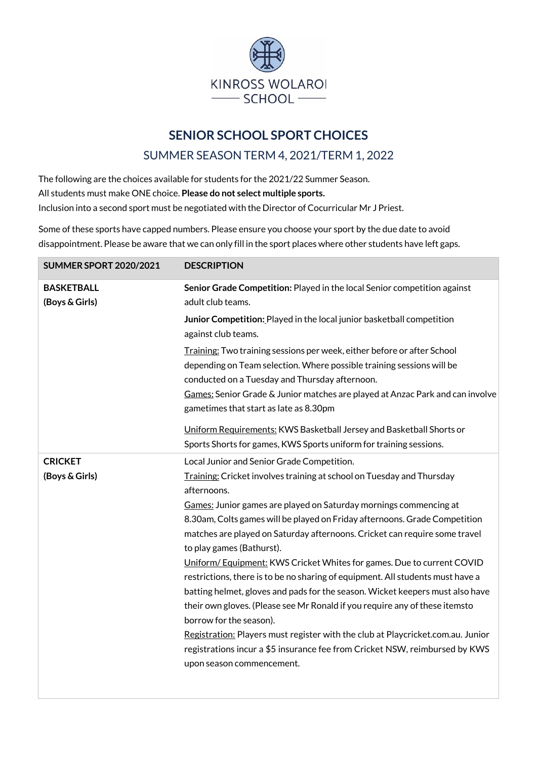

## **SENIOR SCHOOL SPORT CHOICES**

## SUMMER SEASON TERM 4, 2021/TERM 1, 2022

The following are the choices available for students for the 2021/22 Summer Season. All students must make ONE choice. **Please do not select multiple sports.** Inclusion into a second sport must be negotiated with the Director of Cocurricular Mr J Priest.

Some of these sports have capped numbers. Please ensure you choose your sport by the due date to avoid disappointment. Please be aware that we can only fill in the sport places where other students have left gaps.

| <b>BASKETBALL</b><br>Senior Grade Competition: Played in the local Senior competition against<br>(Boys & Girls)<br>adult club teams.                                                                                                                                                                                          |  |
|-------------------------------------------------------------------------------------------------------------------------------------------------------------------------------------------------------------------------------------------------------------------------------------------------------------------------------|--|
| Junior Competition: Played in the local junior basketball competition<br>against club teams.                                                                                                                                                                                                                                  |  |
| Training: Two training sessions per week, either before or after School<br>depending on Team selection. Where possible training sessions will be<br>conducted on a Tuesday and Thursday afternoon.<br>Games: Senior Grade & Junior matches are played at Anzac Park and can involve<br>gametimes that start as late as 8.30pm |  |
| Uniform Requirements: KWS Basketball Jersey and Basketball Shorts or<br>Sports Shorts for games, KWS Sports uniform for training sessions.                                                                                                                                                                                    |  |
| <b>CRICKET</b><br>Local Junior and Senior Grade Competition.                                                                                                                                                                                                                                                                  |  |
| (Boys & Girls)<br>Training: Cricket involves training at school on Tuesday and Thursday                                                                                                                                                                                                                                       |  |
| afternoons.                                                                                                                                                                                                                                                                                                                   |  |
| Games: Junior games are played on Saturday mornings commencing at                                                                                                                                                                                                                                                             |  |
| 8.30am, Colts games will be played on Friday afternoons. Grade Competition                                                                                                                                                                                                                                                    |  |
| matches are played on Saturday afternoons. Cricket can require some travel                                                                                                                                                                                                                                                    |  |
| to play games (Bathurst).                                                                                                                                                                                                                                                                                                     |  |
| Uniform/Equipment: KWS Cricket Whites for games. Due to current COVID                                                                                                                                                                                                                                                         |  |
| restrictions, there is to be no sharing of equipment. All students must have a                                                                                                                                                                                                                                                |  |
| batting helmet, gloves and pads for the season. Wicket keepers must also have                                                                                                                                                                                                                                                 |  |
| their own gloves. (Please see Mr Ronald if you require any of these itemsto<br>borrow for the season).                                                                                                                                                                                                                        |  |
| Registration: Players must register with the club at Playcricket.com.au. Junior                                                                                                                                                                                                                                               |  |
| registrations incur a \$5 insurance fee from Cricket NSW, reimbursed by KWS                                                                                                                                                                                                                                                   |  |
| upon season commencement.                                                                                                                                                                                                                                                                                                     |  |
|                                                                                                                                                                                                                                                                                                                               |  |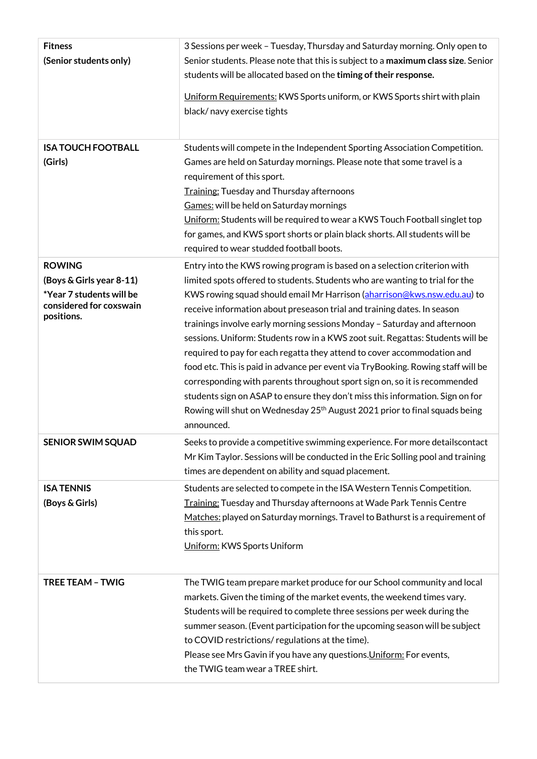| <b>Fitness</b><br>(Senior students only)                                                                       | 3 Sessions per week - Tuesday, Thursday and Saturday morning. Only open to<br>Senior students. Please note that this is subject to a maximum class size. Senior<br>students will be allocated based on the timing of their response.<br>Uniform Requirements: KWS Sports uniform, or KWS Sports shirt with plain<br>black/navy exercise tights                                                                                                                                                                                                                                                                                                                                                                                                                                                                                                                                                                    |
|----------------------------------------------------------------------------------------------------------------|-------------------------------------------------------------------------------------------------------------------------------------------------------------------------------------------------------------------------------------------------------------------------------------------------------------------------------------------------------------------------------------------------------------------------------------------------------------------------------------------------------------------------------------------------------------------------------------------------------------------------------------------------------------------------------------------------------------------------------------------------------------------------------------------------------------------------------------------------------------------------------------------------------------------|
| <b>ISA TOUCH FOOTBALL</b><br>(Girls)                                                                           | Students will compete in the Independent Sporting Association Competition.<br>Games are held on Saturday mornings. Please note that some travel is a<br>requirement of this sport.<br>Training: Tuesday and Thursday afternoons<br>Games: will be held on Saturday mornings<br>Uniform: Students will be required to wear a KWS Touch Football singlet top<br>for games, and KWS sport shorts or plain black shorts. All students will be<br>required to wear studded football boots.                                                                                                                                                                                                                                                                                                                                                                                                                             |
| <b>ROWING</b><br>(Boys & Girls year 8-11)<br>*Year 7 students will be<br>considered for coxswain<br>positions. | Entry into the KWS rowing program is based on a selection criterion with<br>limited spots offered to students. Students who are wanting to trial for the<br>KWS rowing squad should email Mr Harrison (aharrison@kws.nsw.edu.au) to<br>receive information about preseason trial and training dates. In season<br>trainings involve early morning sessions Monday - Saturday and afternoon<br>sessions. Uniform: Students row in a KWS zoot suit. Regattas: Students will be<br>required to pay for each regatta they attend to cover accommodation and<br>food etc. This is paid in advance per event via TryBooking. Rowing staff will be<br>corresponding with parents throughout sport sign on, so it is recommended<br>students sign on ASAP to ensure they don't miss this information. Sign on for<br>Rowing will shut on Wednesday 25 <sup>th</sup> August 2021 prior to final squads being<br>announced. |
| <b>SENIOR SWIM SQUAD</b>                                                                                       | Seeks to provide a competitive swimming experience. For more detailscontact<br>Mr Kim Taylor. Sessions will be conducted in the Eric Solling pool and training<br>times are dependent on ability and squad placement.                                                                                                                                                                                                                                                                                                                                                                                                                                                                                                                                                                                                                                                                                             |
| <b>ISA TENNIS</b><br>(Boys & Girls)                                                                            | Students are selected to compete in the ISA Western Tennis Competition.<br>Training: Tuesday and Thursday afternoons at Wade Park Tennis Centre<br>Matches: played on Saturday mornings. Travel to Bathurst is a requirement of<br>this sport.<br>Uniform: KWS Sports Uniform                                                                                                                                                                                                                                                                                                                                                                                                                                                                                                                                                                                                                                     |
| <b>TREE TEAM - TWIG</b>                                                                                        | The TWIG team prepare market produce for our School community and local<br>markets. Given the timing of the market events, the weekend times vary.<br>Students will be required to complete three sessions per week during the<br>summer season. (Event participation for the upcoming season will be subject<br>to COVID restrictions/ regulations at the time).<br>Please see Mrs Gavin if you have any questions. Uniform: For events,<br>the TWIG team wear a TREE shirt.                                                                                                                                                                                                                                                                                                                                                                                                                                     |